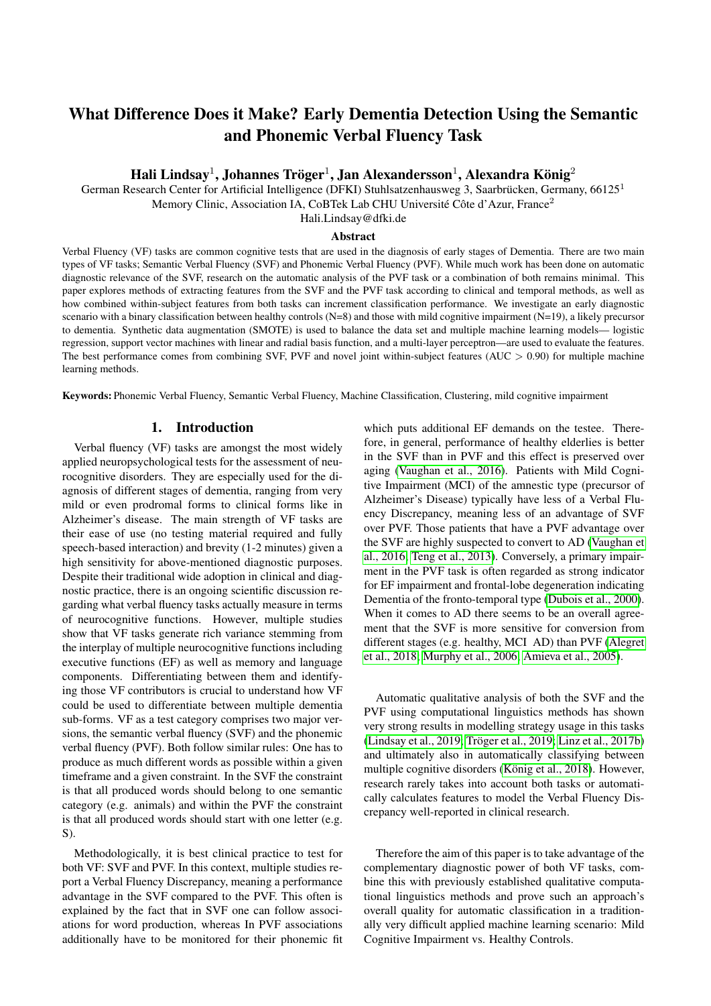# What Difference Does it Make? Early Dementia Detection Using the Semantic and Phonemic Verbal Fluency Task

# Hali Lindsay $^1$ , Johannes Tröger $^1$ , Jan Alexandersson $^1$ , Alexandra König $^2$

German Research Center for Artificial Intelligence (DFKI) Stuhlsatzenhausweg 3, Saarbrücken, Germany, 66125<sup>1</sup>

Memory Clinic, Association IA, CoBTek Lab CHU Université Côte d'Azur, France<sup>2</sup>

Hali.Lindsay@dfki.de

#### Abstract

Verbal Fluency (VF) tasks are common cognitive tests that are used in the diagnosis of early stages of Dementia. There are two main types of VF tasks; Semantic Verbal Fluency (SVF) and Phonemic Verbal Fluency (PVF). While much work has been done on automatic diagnostic relevance of the SVF, research on the automatic analysis of the PVF task or a combination of both remains minimal. This paper explores methods of extracting features from the SVF and the PVF task according to clinical and temporal methods, as well as how combined within-subject features from both tasks can increment classification performance. We investigate an early diagnostic scenario with a binary classification between healthy controls (N=8) and those with mild cognitive impairment (N=19), a likely precursor to dementia. Synthetic data augmentation (SMOTE) is used to balance the data set and multiple machine learning models— logistic regression, support vector machines with linear and radial basis function, and a multi-layer perceptron—are used to evaluate the features. The best performance comes from combining SVF, PVF and novel joint within-subject features ( $AUC > 0.90$ ) for multiple machine learning methods.

Keywords: Phonemic Verbal Fluency, Semantic Verbal Fluency, Machine Classification, Clustering, mild cognitive impairment

## 1. Introduction

Verbal fluency (VF) tasks are amongst the most widely applied neuropsychological tests for the assessment of neurocognitive disorders. They are especially used for the diagnosis of different stages of dementia, ranging from very mild or even prodromal forms to clinical forms like in Alzheimer's disease. The main strength of VF tasks are their ease of use (no testing material required and fully speech-based interaction) and brevity (1-2 minutes) given a high sensitivity for above-mentioned diagnostic purposes. Despite their traditional wide adoption in clinical and diagnostic practice, there is an ongoing scientific discussion regarding what verbal fluency tasks actually measure in terms of neurocognitive functions. However, multiple studies show that VF tasks generate rich variance stemming from the interplay of multiple neurocognitive functions including executive functions (EF) as well as memory and language components. Differentiating between them and identifying those VF contributors is crucial to understand how VF could be used to differentiate between multiple dementia sub-forms. VF as a test category comprises two major versions, the semantic verbal fluency (SVF) and the phonemic verbal fluency (PVF). Both follow similar rules: One has to produce as much different words as possible within a given timeframe and a given constraint. In the SVF the constraint is that all produced words should belong to one semantic category (e.g. animals) and within the PVF the constraint is that all produced words should start with one letter (e.g. S).

Methodologically, it is best clinical practice to test for both VF: SVF and PVF. In this context, multiple studies report a Verbal Fluency Discrepancy, meaning a performance advantage in the SVF compared to the PVF. This often is explained by the fact that in SVF one can follow associations for word production, whereas In PVF associations additionally have to be monitored for their phonemic fit which puts additional EF demands on the testee. Therefore, in general, performance of healthy elderlies is better in the SVF than in PVF and this effect is preserved over aging [\(Vaughan et al., 2016\)](#page-6-0). Patients with Mild Cognitive Impairment (MCI) of the amnestic type (precursor of Alzheimer's Disease) typically have less of a Verbal Fluency Discrepancy, meaning less of an advantage of SVF over PVF. Those patients that have a PVF advantage over the SVF are highly suspected to convert to AD [\(Vaughan et](#page-6-0) [al., 2016;](#page-6-0) [Teng et al., 2013\)](#page-6-1). Conversely, a primary impairment in the PVF task is often regarded as strong indicator for EF impairment and frontal-lobe degeneration indicating Dementia of the fronto-temporal type [\(Dubois et al., 2000\)](#page-6-2). When it comes to AD there seems to be an overall agreement that the SVF is more sensitive for conversion from different stages (e.g. healthy, MCI AD) than PVF [\(Alegret](#page-5-0) [et al., 2018;](#page-5-0) [Murphy et al., 2006;](#page-6-3) [Amieva et al., 2005\)](#page-5-1).

Automatic qualitative analysis of both the SVF and the PVF using computational linguistics methods has shown very strong results in modelling strategy usage in this tasks [\(Lindsay et al., 2019;](#page-6-4) Tröger et al., 2019; [Linz et al., 2017b\)](#page-6-6) and ultimately also in automatically classifying between multiple cognitive disorders (König et al., 2018). However, research rarely takes into account both tasks or automatically calculates features to model the Verbal Fluency Discrepancy well-reported in clinical research.

Therefore the aim of this paper is to take advantage of the complementary diagnostic power of both VF tasks, combine this with previously established qualitative computational linguistics methods and prove such an approach's overall quality for automatic classification in a traditionally very difficult applied machine learning scenario: Mild Cognitive Impairment vs. Healthy Controls.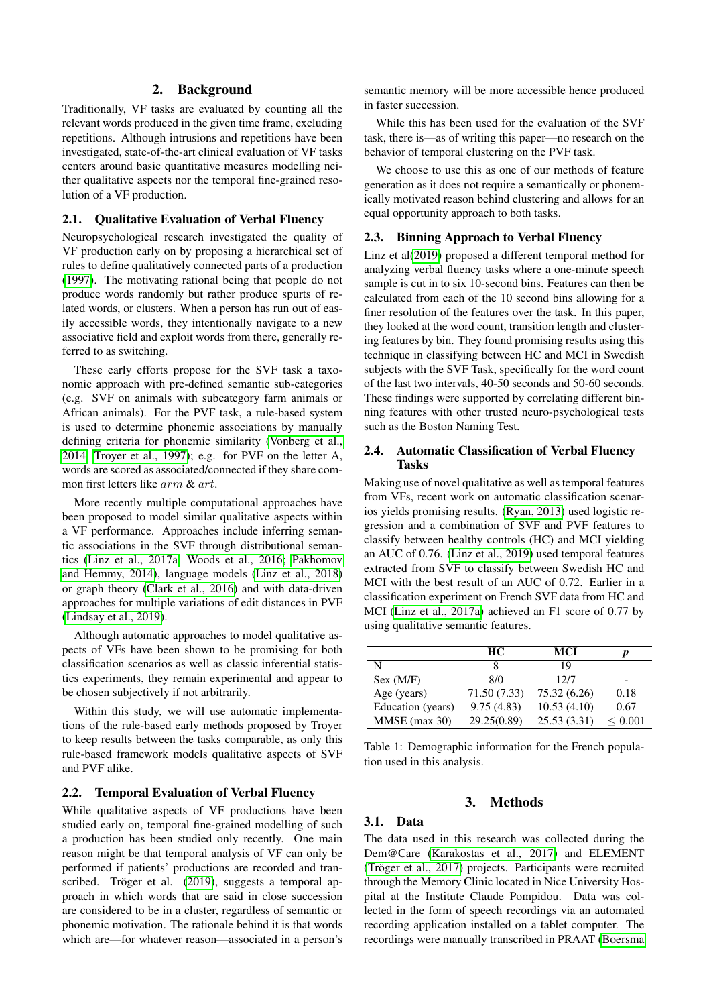## 2. Background

Traditionally, VF tasks are evaluated by counting all the relevant words produced in the given time frame, excluding repetitions. Although intrusions and repetitions have been investigated, state-of-the-art clinical evaluation of VF tasks centers around basic quantitative measures modelling neither qualitative aspects nor the temporal fine-grained resolution of a VF production.

#### 2.1. Qualitative Evaluation of Verbal Fluency

Neuropsychological research investigated the quality of VF production early on by proposing a hierarchical set of rules to define qualitatively connected parts of a production [\(1997\)](#page-6-8). The motivating rational being that people do not produce words randomly but rather produce spurts of related words, or clusters. When a person has run out of easily accessible words, they intentionally navigate to a new associative field and exploit words from there, generally referred to as switching.

These early efforts propose for the SVF task a taxonomic approach with pre-defined semantic sub-categories (e.g. SVF on animals with subcategory farm animals or African animals). For the PVF task, a rule-based system is used to determine phonemic associations by manually defining criteria for phonemic similarity [\(Vonberg et al.,](#page-6-9) [2014;](#page-6-9) [Troyer et al., 1997\)](#page-6-8); e.g. for PVF on the letter A, words are scored as associated/connected if they share common first letters like arm & art.

More recently multiple computational approaches have been proposed to model similar qualitative aspects within a VF performance. Approaches include inferring semantic associations in the SVF through distributional semantics [\(Linz et al., 2017a;](#page-6-10) [Woods et al., 2016;](#page-6-11) [Pakhomov](#page-6-12) [and Hemmy, 2014\)](#page-6-12), language models [\(Linz et al., 2018\)](#page-6-13) or graph theory [\(Clark et al., 2016\)](#page-6-14) and with data-driven approaches for multiple variations of edit distances in PVF [\(Lindsay et al., 2019\)](#page-6-4).

Although automatic approaches to model qualitative aspects of VFs have been shown to be promising for both classification scenarios as well as classic inferential statistics experiments, they remain experimental and appear to be chosen subjectively if not arbitrarily.

Within this study, we will use automatic implementations of the rule-based early methods proposed by Troyer to keep results between the tasks comparable, as only this rule-based framework models qualitative aspects of SVF and PVF alike.

## 2.2. Temporal Evaluation of Verbal Fluency

While qualitative aspects of VF productions have been studied early on, temporal fine-grained modelling of such a production has been studied only recently. One main reason might be that temporal analysis of VF can only be performed if patients' productions are recorded and tran-scribed. Tröger et al. [\(2019\)](#page-6-5), suggests a temporal approach in which words that are said in close succession are considered to be in a cluster, regardless of semantic or phonemic motivation. The rationale behind it is that words which are—for whatever reason—associated in a person's semantic memory will be more accessible hence produced in faster succession.

While this has been used for the evaluation of the SVF task, there is—as of writing this paper—no research on the behavior of temporal clustering on the PVF task.

We choose to use this as one of our methods of feature generation as it does not require a semantically or phonemically motivated reason behind clustering and allows for an equal opportunity approach to both tasks.

#### 2.3. Binning Approach to Verbal Fluency

Linz et al[\(2019\)](#page-6-15) proposed a different temporal method for analyzing verbal fluency tasks where a one-minute speech sample is cut in to six 10-second bins. Features can then be calculated from each of the 10 second bins allowing for a finer resolution of the features over the task. In this paper, they looked at the word count, transition length and clustering features by bin. They found promising results using this technique in classifying between HC and MCI in Swedish subjects with the SVF Task, specifically for the word count of the last two intervals, 40-50 seconds and 50-60 seconds. These findings were supported by correlating different binning features with other trusted neuro-psychological tests such as the Boston Naming Test.

## 2.4. Automatic Classification of Verbal Fluency Tasks

Making use of novel qualitative as well as temporal features from VFs, recent work on automatic classification scenarios yields promising results. [\(Ryan, 2013\)](#page-6-16) used logistic regression and a combination of SVF and PVF features to classify between healthy controls (HC) and MCI yielding an AUC of 0.76. [\(Linz et al., 2019\)](#page-6-15) used temporal features extracted from SVF to classify between Swedish HC and MCI with the best result of an AUC of 0.72. Earlier in a classification experiment on French SVF data from HC and MCI [\(Linz et al., 2017a\)](#page-6-10) achieved an F1 score of 0.77 by using qualitative semantic features.

<span id="page-1-0"></span>

|                   | HС           | MCI          | n           |
|-------------------|--------------|--------------|-------------|
| N                 | 8            | 19           |             |
| Sex (M/F)         | 8/0          | 12/7         |             |
| Age (years)       | 71.50 (7.33) | 75.32 (6.26) | 0.18        |
| Education (years) | 9.75(4.83)   | 10.53(4.10)  | 0.67        |
| $MMSE$ (max 30)   | 29.25(0.89)  | 25.53(3.31)  | ${}< 0.001$ |

Table 1: Demographic information for the French population used in this analysis.

## 3. Methods

## 3.1. Data

The data used in this research was collected during the Dem@Care [\(Karakostas et al., 2017\)](#page-6-17) and ELEMENT (Tröger et al., 2017) projects. Participants were recruited through the Memory Clinic located in Nice University Hospital at the Institute Claude Pompidou. Data was collected in the form of speech recordings via an automated recording application installed on a tablet computer. The recordings were manually transcribed in PRAAT [\(Boersma](#page-6-19)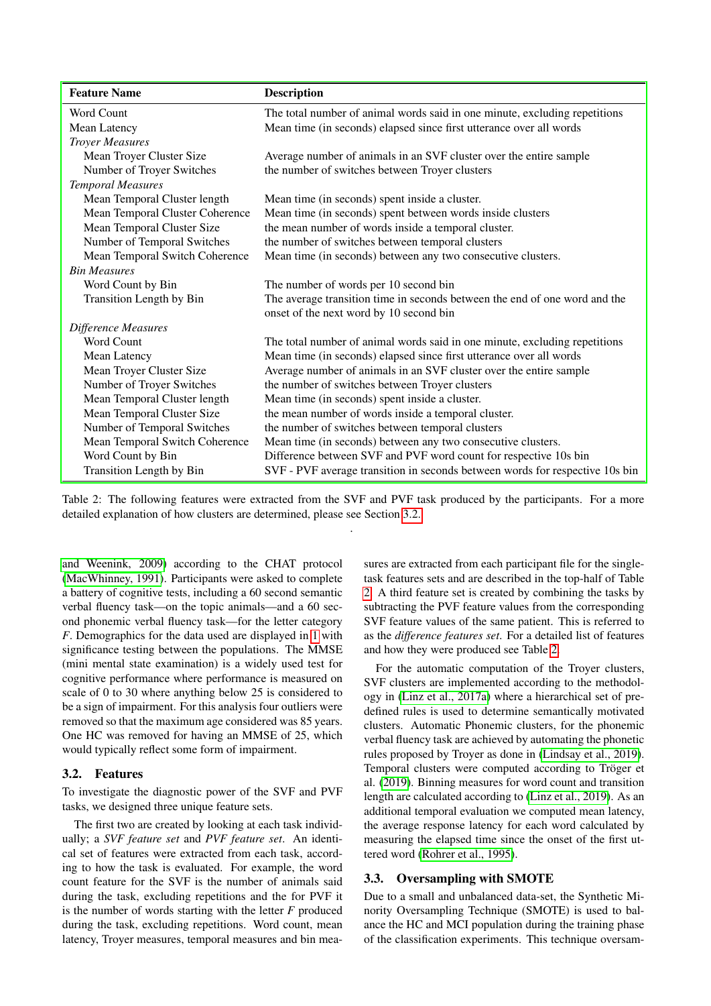<span id="page-2-1"></span>

| <b>Feature Name</b>             | <b>Description</b>                                                           |  |  |  |  |
|---------------------------------|------------------------------------------------------------------------------|--|--|--|--|
| Word Count                      | The total number of animal words said in one minute, excluding repetitions   |  |  |  |  |
| Mean Latency                    | Mean time (in seconds) elapsed since first utterance over all words          |  |  |  |  |
| <b>Troyer Measures</b>          |                                                                              |  |  |  |  |
| Mean Troyer Cluster Size        | Average number of animals in an SVF cluster over the entire sample           |  |  |  |  |
| Number of Troyer Switches       | the number of switches between Troyer clusters                               |  |  |  |  |
| <b>Temporal Measures</b>        |                                                                              |  |  |  |  |
| Mean Temporal Cluster length    | Mean time (in seconds) spent inside a cluster.                               |  |  |  |  |
| Mean Temporal Cluster Coherence | Mean time (in seconds) spent between words inside clusters                   |  |  |  |  |
| Mean Temporal Cluster Size      | the mean number of words inside a temporal cluster.                          |  |  |  |  |
| Number of Temporal Switches     | the number of switches between temporal clusters                             |  |  |  |  |
| Mean Temporal Switch Coherence  | Mean time (in seconds) between any two consecutive clusters.                 |  |  |  |  |
| <b>Bin Measures</b>             |                                                                              |  |  |  |  |
| Word Count by Bin               | The number of words per 10 second bin                                        |  |  |  |  |
| Transition Length by Bin        | The average transition time in seconds between the end of one word and the   |  |  |  |  |
|                                 | onset of the next word by 10 second bin                                      |  |  |  |  |
| Difference Measures             |                                                                              |  |  |  |  |
| Word Count                      | The total number of animal words said in one minute, excluding repetitions   |  |  |  |  |
| Mean Latency                    | Mean time (in seconds) elapsed since first utterance over all words          |  |  |  |  |
| Mean Troyer Cluster Size        | Average number of animals in an SVF cluster over the entire sample           |  |  |  |  |
| Number of Troyer Switches       | the number of switches between Troyer clusters                               |  |  |  |  |
| Mean Temporal Cluster length    | Mean time (in seconds) spent inside a cluster.                               |  |  |  |  |
| Mean Temporal Cluster Size      | the mean number of words inside a temporal cluster.                          |  |  |  |  |
| Number of Temporal Switches     | the number of switches between temporal clusters                             |  |  |  |  |
| Mean Temporal Switch Coherence  | Mean time (in seconds) between any two consecutive clusters.                 |  |  |  |  |
| Word Count by Bin               | Difference between SVF and PVF word count for respective 10s bin             |  |  |  |  |
| Transition Length by Bin        | SVF - PVF average transition in seconds between words for respective 10s bin |  |  |  |  |

Table 2: The following features were extracted from the SVF and PVF task produced by the participants. For a more detailed explanation of how clusters are determined, please see Section [3.2.](#page-2-0) .

[and Weenink, 2009\)](#page-6-19) according to the CHAT protocol [\(MacWhinney, 1991\)](#page-6-20). Participants were asked to complete a battery of cognitive tests, including a 60 second semantic verbal fluency task—on the topic animals—and a 60 second phonemic verbal fluency task—for the letter category *F*. Demographics for the data used are displayed in [1](#page-1-0) with significance testing between the populations. The MMSE (mini mental state examination) is a widely used test for cognitive performance where performance is measured on scale of 0 to 30 where anything below 25 is considered to be a sign of impairment. For this analysis four outliers were removed so that the maximum age considered was 85 years. One HC was removed for having an MMSE of 25, which would typically reflect some form of impairment.

#### <span id="page-2-0"></span>3.2. Features

To investigate the diagnostic power of the SVF and PVF tasks, we designed three unique feature sets.

The first two are created by looking at each task individually; a *SVF feature set* and *PVF feature set*. An identical set of features were extracted from each task, according to how the task is evaluated. For example, the word count feature for the SVF is the number of animals said during the task, excluding repetitions and the for PVF it is the number of words starting with the letter *F* produced during the task, excluding repetitions. Word count, mean latency, Troyer measures, temporal measures and bin measures are extracted from each participant file for the singletask features sets and are described in the top-half of Table [2.](#page-2-1) A third feature set is created by combining the tasks by subtracting the PVF feature values from the corresponding SVF feature values of the same patient. This is referred to as the *difference features set*. For a detailed list of features and how they were produced see Table [2.](#page-2-1)

For the automatic computation of the Troyer clusters, SVF clusters are implemented according to the methodology in [\(Linz et al., 2017a\)](#page-6-10) where a hierarchical set of predefined rules is used to determine semantically motivated clusters. Automatic Phonemic clusters, for the phonemic verbal fluency task are achieved by automating the phonetic rules proposed by Troyer as done in [\(Lindsay et al., 2019\)](#page-6-4). Temporal clusters were computed according to Tröger et al. [\(2019\)](#page-6-5). Binning measures for word count and transition length are calculated according to [\(Linz et al., 2019\)](#page-6-15). As an additional temporal evaluation we computed mean latency, the average response latency for each word calculated by measuring the elapsed time since the onset of the first uttered word [\(Rohrer et al., 1995\)](#page-6-21).

#### 3.3. Oversampling with SMOTE

Due to a small and unbalanced data-set, the Synthetic Minority Oversampling Technique (SMOTE) is used to balance the HC and MCI population during the training phase of the classification experiments. This technique oversam-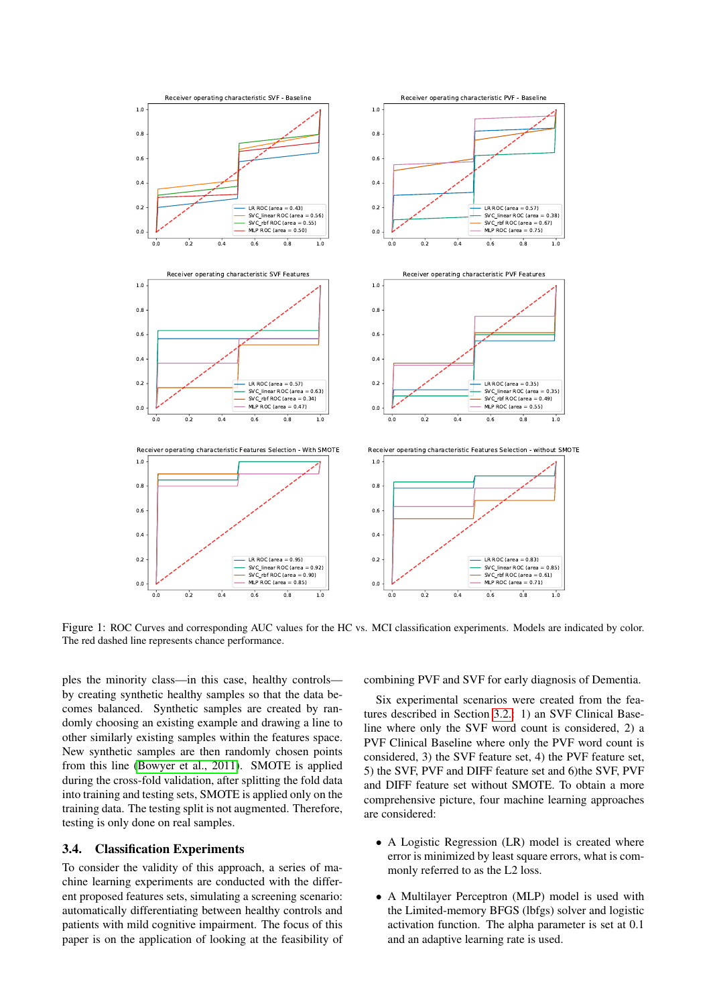<span id="page-3-1"></span>

Figure 1: ROC Curves and corresponding AUC values for the HC vs. MCI classification experiments. Models are indicated by color. The red dashed line represents chance performance.

ples the minority class—in this case, healthy controls by creating synthetic healthy samples so that the data becomes balanced. Synthetic samples are created by randomly choosing an existing example and drawing a line to other similarly existing samples within the features space. New synthetic samples are then randomly chosen points from this line [\(Bowyer et al., 2011\)](#page-6-22). SMOTE is applied during the cross-fold validation, after splitting the fold data into training and testing sets, SMOTE is applied only on the training data. The testing split is not augmented. Therefore, testing is only done on real samples.

## <span id="page-3-0"></span>3.4. Classification Experiments

To consider the validity of this approach, a series of machine learning experiments are conducted with the different proposed features sets, simulating a screening scenario: automatically differentiating between healthy controls and patients with mild cognitive impairment. The focus of this paper is on the application of looking at the feasibility of combining PVF and SVF for early diagnosis of Dementia.

Six experimental scenarios were created from the features described in Section [3.2.:](#page-2-0) 1) an SVF Clinical Baseline where only the SVF word count is considered, 2) a PVF Clinical Baseline where only the PVF word count is considered, 3) the SVF feature set, 4) the PVF feature set, 5) the SVF, PVF and DIFF feature set and 6)the SVF, PVF and DIFF feature set without SMOTE. To obtain a more comprehensive picture, four machine learning approaches are considered:

- A Logistic Regression (LR) model is created where error is minimized by least square errors, what is commonly referred to as the L2 loss.
- A Multilayer Perceptron (MLP) model is used with the Limited-memory BFGS (lbfgs) solver and logistic activation function. The alpha parameter is set at 0.1 and an adaptive learning rate is used.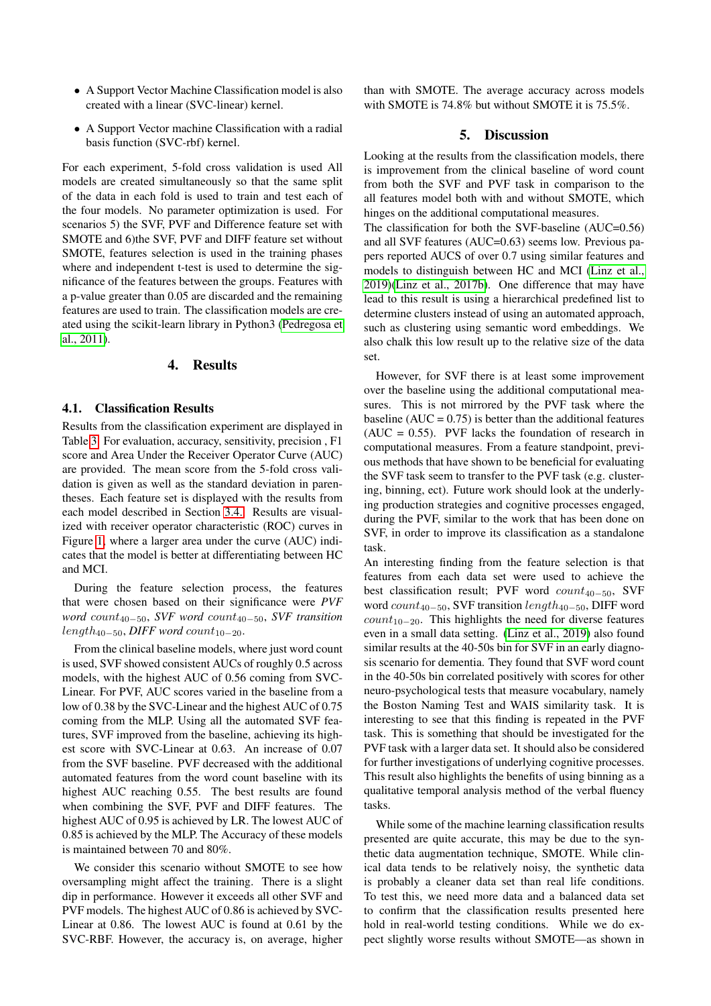- A Support Vector Machine Classification model is also created with a linear (SVC-linear) kernel.
- A Support Vector machine Classification with a radial basis function (SVC-rbf) kernel.

For each experiment, 5-fold cross validation is used All models are created simultaneously so that the same split of the data in each fold is used to train and test each of the four models. No parameter optimization is used. For scenarios 5) the SVF, PVF and Difference feature set with SMOTE and 6)the SVF, PVF and DIFF feature set without SMOTE, features selection is used in the training phases where and independent t-test is used to determine the significance of the features between the groups. Features with a p-value greater than 0.05 are discarded and the remaining features are used to train. The classification models are created using the scikit-learn library in Python3 [\(Pedregosa et](#page-6-23) [al., 2011\)](#page-6-23).

#### 4. Results

#### 4.1. Classification Results

Results from the classification experiment are displayed in Table [3.](#page-5-2) For evaluation, accuracy, sensitivity, precision , F1 score and Area Under the Receiver Operator Curve (AUC) are provided. The mean score from the 5-fold cross validation is given as well as the standard deviation in parentheses. Each feature set is displayed with the results from each model described in Section [3.4..](#page-3-0) Results are visualized with receiver operator characteristic (ROC) curves in Figure [1,](#page-3-1) where a larger area under the curve (AUC) indicates that the model is better at differentiating between HC and MCI.

During the feature selection process, the features that were chosen based on their significance were *PVF word* count40−50, *SVF word* count40−50, *SVF transition*  $length_{40-50}$ , *DIFF word* count<sub>10−20</sub>.

From the clinical baseline models, where just word count is used, SVF showed consistent AUCs of roughly 0.5 across models, with the highest AUC of 0.56 coming from SVC-Linear. For PVF, AUC scores varied in the baseline from a low of 0.38 by the SVC-Linear and the highest AUC of 0.75 coming from the MLP. Using all the automated SVF features, SVF improved from the baseline, achieving its highest score with SVC-Linear at 0.63. An increase of 0.07 from the SVF baseline. PVF decreased with the additional automated features from the word count baseline with its highest AUC reaching 0.55. The best results are found when combining the SVF, PVF and DIFF features. The highest AUC of 0.95 is achieved by LR. The lowest AUC of 0.85 is achieved by the MLP. The Accuracy of these models is maintained between 70 and 80%.

We consider this scenario without SMOTE to see how oversampling might affect the training. There is a slight dip in performance. However it exceeds all other SVF and PVF models. The highest AUC of 0.86 is achieved by SVC-Linear at 0.86. The lowest AUC is found at 0.61 by the SVC-RBF. However, the accuracy is, on average, higher than with SMOTE. The average accuracy across models with SMOTE is 74.8% but without SMOTE it is 75.5%.

#### 5. Discussion

Looking at the results from the classification models, there is improvement from the clinical baseline of word count from both the SVF and PVF task in comparison to the all features model both with and without SMOTE, which hinges on the additional computational measures.

The classification for both the SVF-baseline (AUC=0.56) and all SVF features (AUC=0.63) seems low. Previous papers reported AUCS of over 0.7 using similar features and models to distinguish between HC and MCI [\(Linz et al.,](#page-6-15) [2019\)](#page-6-15)[\(Linz et al., 2017b\)](#page-6-6). One difference that may have lead to this result is using a hierarchical predefined list to determine clusters instead of using an automated approach, such as clustering using semantic word embeddings. We also chalk this low result up to the relative size of the data set.

However, for SVF there is at least some improvement over the baseline using the additional computational measures. This is not mirrored by the PVF task where the baseline ( $AUC = 0.75$ ) is better than the additional features  $(AUC = 0.55)$ . PVF lacks the foundation of research in computational measures. From a feature standpoint, previous methods that have shown to be beneficial for evaluating the SVF task seem to transfer to the PVF task (e.g. clustering, binning, ect). Future work should look at the underlying production strategies and cognitive processes engaged, during the PVF, similar to the work that has been done on SVF, in order to improve its classification as a standalone task.

An interesting finding from the feature selection is that features from each data set were used to achieve the best classification result; PVF word  $count_{40-50}$ , SVF word  $count_{40-50}$ , SVF transition  $length_{40-50}$ , DIFF word  $count_{10-20}$ . This highlights the need for diverse features even in a small data setting. [\(Linz et al., 2019\)](#page-6-15) also found similar results at the 40-50s bin for SVF in an early diagnosis scenario for dementia. They found that SVF word count in the 40-50s bin correlated positively with scores for other neuro-psychological tests that measure vocabulary, namely the Boston Naming Test and WAIS similarity task. It is interesting to see that this finding is repeated in the PVF task. This is something that should be investigated for the PVF task with a larger data set. It should also be considered for further investigations of underlying cognitive processes. This result also highlights the benefits of using binning as a qualitative temporal analysis method of the verbal fluency tasks.

While some of the machine learning classification results presented are quite accurate, this may be due to the synthetic data augmentation technique, SMOTE. While clinical data tends to be relatively noisy, the synthetic data is probably a cleaner data set than real life conditions. To test this, we need more data and a balanced data set to confirm that the classification results presented here hold in real-world testing conditions. While we do expect slightly worse results without SMOTE—as shown in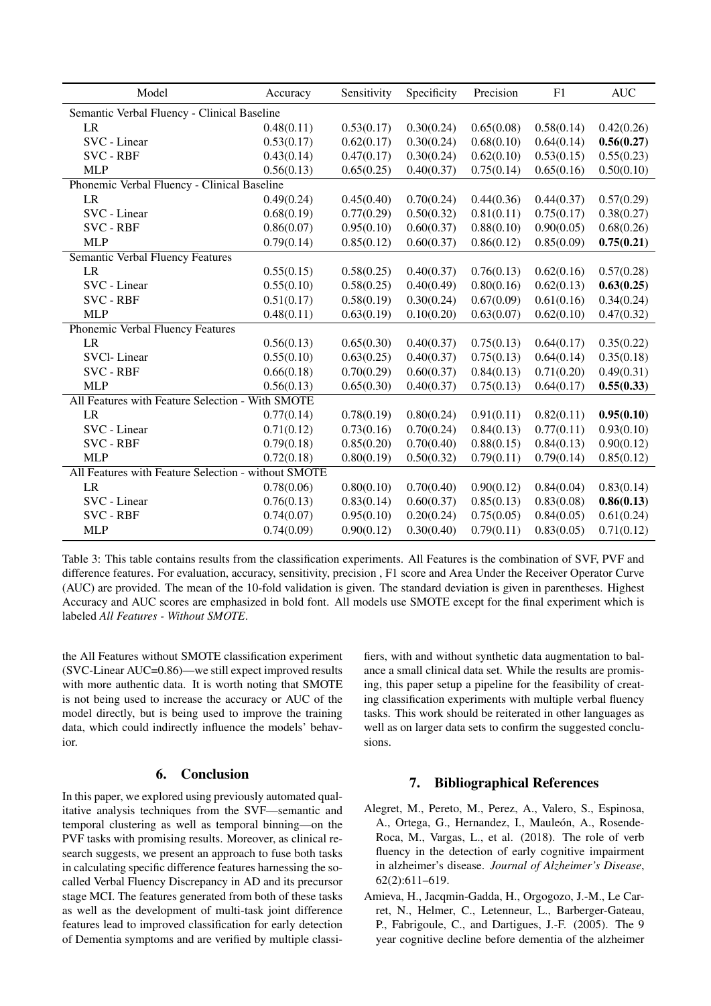<span id="page-5-2"></span>

| Model                                               | Accuracy   | Sensitivity | Specificity | Precision  | F1         | <b>AUC</b> |  |
|-----------------------------------------------------|------------|-------------|-------------|------------|------------|------------|--|
| Semantic Verbal Fluency - Clinical Baseline         |            |             |             |            |            |            |  |
| LR                                                  | 0.48(0.11) | 0.53(0.17)  | 0.30(0.24)  | 0.65(0.08) | 0.58(0.14) | 0.42(0.26) |  |
| SVC - Linear                                        | 0.53(0.17) | 0.62(0.17)  | 0.30(0.24)  | 0.68(0.10) | 0.64(0.14) | 0.56(0.27) |  |
| <b>SVC - RBF</b>                                    | 0.43(0.14) | 0.47(0.17)  | 0.30(0.24)  | 0.62(0.10) | 0.53(0.15) | 0.55(0.23) |  |
| <b>MLP</b>                                          | 0.56(0.13) | 0.65(0.25)  | 0.40(0.37)  | 0.75(0.14) | 0.65(0.16) | 0.50(0.10) |  |
| Phonemic Verbal Fluency - Clinical Baseline         |            |             |             |            |            |            |  |
| <b>LR</b>                                           | 0.49(0.24) | 0.45(0.40)  | 0.70(0.24)  | 0.44(0.36) | 0.44(0.37) | 0.57(0.29) |  |
| SVC - Linear                                        | 0.68(0.19) | 0.77(0.29)  | 0.50(0.32)  | 0.81(0.11) | 0.75(0.17) | 0.38(0.27) |  |
| <b>SVC - RBF</b>                                    | 0.86(0.07) | 0.95(0.10)  | 0.60(0.37)  | 0.88(0.10) | 0.90(0.05) | 0.68(0.26) |  |
| <b>MLP</b>                                          | 0.79(0.14) | 0.85(0.12)  | 0.60(0.37)  | 0.86(0.12) | 0.85(0.09) | 0.75(0.21) |  |
| Semantic Verbal Fluency Features                    |            |             |             |            |            |            |  |
| LR                                                  | 0.55(0.15) | 0.58(0.25)  | 0.40(0.37)  | 0.76(0.13) | 0.62(0.16) | 0.57(0.28) |  |
| SVC - Linear                                        | 0.55(0.10) | 0.58(0.25)  | 0.40(0.49)  | 0.80(0.16) | 0.62(0.13) | 0.63(0.25) |  |
| <b>SVC - RBF</b>                                    | 0.51(0.17) | 0.58(0.19)  | 0.30(0.24)  | 0.67(0.09) | 0.61(0.16) | 0.34(0.24) |  |
| <b>MLP</b>                                          | 0.48(0.11) | 0.63(0.19)  | 0.10(0.20)  | 0.63(0.07) | 0.62(0.10) | 0.47(0.32) |  |
| Phonemic Verbal Fluency Features                    |            |             |             |            |            |            |  |
| LR                                                  | 0.56(0.13) | 0.65(0.30)  | 0.40(0.37)  | 0.75(0.13) | 0.64(0.17) | 0.35(0.22) |  |
| <b>SVCI-Linear</b>                                  | 0.55(0.10) | 0.63(0.25)  | 0.40(0.37)  | 0.75(0.13) | 0.64(0.14) | 0.35(0.18) |  |
| <b>SVC - RBF</b>                                    | 0.66(0.18) | 0.70(0.29)  | 0.60(0.37)  | 0.84(0.13) | 0.71(0.20) | 0.49(0.31) |  |
| <b>MLP</b>                                          | 0.56(0.13) | 0.65(0.30)  | 0.40(0.37)  | 0.75(0.13) | 0.64(0.17) | 0.55(0.33) |  |
| All Features with Feature Selection - With SMOTE    |            |             |             |            |            |            |  |
| <b>LR</b>                                           | 0.77(0.14) | 0.78(0.19)  | 0.80(0.24)  | 0.91(0.11) | 0.82(0.11) | 0.95(0.10) |  |
| SVC - Linear                                        | 0.71(0.12) | 0.73(0.16)  | 0.70(0.24)  | 0.84(0.13) | 0.77(0.11) | 0.93(0.10) |  |
| <b>SVC - RBF</b>                                    | 0.79(0.18) | 0.85(0.20)  | 0.70(0.40)  | 0.88(0.15) | 0.84(0.13) | 0.90(0.12) |  |
| <b>MLP</b>                                          | 0.72(0.18) | 0.80(0.19)  | 0.50(0.32)  | 0.79(0.11) | 0.79(0.14) | 0.85(0.12) |  |
| All Features with Feature Selection - without SMOTE |            |             |             |            |            |            |  |
| LR.                                                 | 0.78(0.06) | 0.80(0.10)  | 0.70(0.40)  | 0.90(0.12) | 0.84(0.04) | 0.83(0.14) |  |
| SVC - Linear                                        | 0.76(0.13) | 0.83(0.14)  | 0.60(0.37)  | 0.85(0.13) | 0.83(0.08) | 0.86(0.13) |  |
| <b>SVC - RBF</b>                                    | 0.74(0.07) | 0.95(0.10)  | 0.20(0.24)  | 0.75(0.05) | 0.84(0.05) | 0.61(0.24) |  |
| <b>MLP</b>                                          | 0.74(0.09) | 0.90(0.12)  | 0.30(0.40)  | 0.79(0.11) | 0.83(0.05) | 0.71(0.12) |  |

Table 3: This table contains results from the classification experiments. All Features is the combination of SVF, PVF and difference features. For evaluation, accuracy, sensitivity, precision , F1 score and Area Under the Receiver Operator Curve (AUC) are provided. The mean of the 10-fold validation is given. The standard deviation is given in parentheses. Highest Accuracy and AUC scores are emphasized in bold font. All models use SMOTE except for the final experiment which is labeled *All Features - Without SMOTE*.

the All Features without SMOTE classification experiment (SVC-Linear AUC=0.86)—we still expect improved results with more authentic data. It is worth noting that SMOTE is not being used to increase the accuracy or AUC of the model directly, but is being used to improve the training data, which could indirectly influence the models' behavior.

# 6. Conclusion

In this paper, we explored using previously automated qualitative analysis techniques from the SVF—semantic and temporal clustering as well as temporal binning—on the PVF tasks with promising results. Moreover, as clinical research suggests, we present an approach to fuse both tasks in calculating specific difference features harnessing the socalled Verbal Fluency Discrepancy in AD and its precursor stage MCI. The features generated from both of these tasks as well as the development of multi-task joint difference features lead to improved classification for early detection of Dementia symptoms and are verified by multiple classifiers, with and without synthetic data augmentation to balance a small clinical data set. While the results are promising, this paper setup a pipeline for the feasibility of creating classification experiments with multiple verbal fluency tasks. This work should be reiterated in other languages as well as on larger data sets to confirm the suggested conclusions.

# 7. Bibliographical References

- <span id="page-5-0"></span>Alegret, M., Pereto, M., Perez, A., Valero, S., Espinosa, A., Ortega, G., Hernandez, I., Mauleón, A., Rosende-Roca, M., Vargas, L., et al. (2018). The role of verb fluency in the detection of early cognitive impairment in alzheimer's disease. *Journal of Alzheimer's Disease*, 62(2):611–619.
- <span id="page-5-1"></span>Amieva, H., Jacqmin-Gadda, H., Orgogozo, J.-M., Le Carret, N., Helmer, C., Letenneur, L., Barberger-Gateau, P., Fabrigoule, C., and Dartigues, J.-F. (2005). The 9 year cognitive decline before dementia of the alzheimer